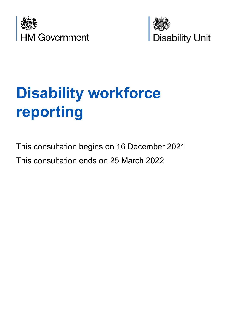



# **Disability workforce reporting**

This consultation begins on 16 December 2021 This consultation ends on 25 March 2022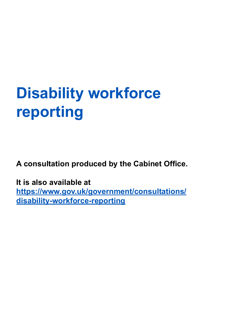# **Disability workforce reporting**

**A consultation produced by the Cabinet Office.** 

**It is also available at [https://www.gov.uk/government/consultations/](https://www.gov.uk/government/consultations/disability-workforce-reporting) [disability-workforce-reporting](https://www.gov.uk/government/consultations/disability-workforce-reporting)**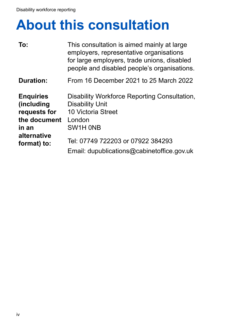# **About this consultation**

| To:                | This consultation is aimed mainly at large<br>employers, representative organisations<br>for large employers, trade unions, disabled<br>people and disabled people's organisations. |
|--------------------|-------------------------------------------------------------------------------------------------------------------------------------------------------------------------------------|
| <b>Duration:</b>   | From 16 December 2021 to 25 March 2022                                                                                                                                              |
| <b>Enquiries</b>   | Disability Workforce Reporting Consultation,                                                                                                                                        |
| <i>(including)</i> | <b>Disability Unit</b>                                                                                                                                                              |
| requests for       | <b>10 Victoria Street</b>                                                                                                                                                           |
| the document       | London                                                                                                                                                                              |
| in an              | SW1H ONB                                                                                                                                                                            |
| alternative        | Tel: 07749 722203 or 07922 384293                                                                                                                                                   |
| format) to:        | Email: dupublications@cabinetoffice.gov.uk                                                                                                                                          |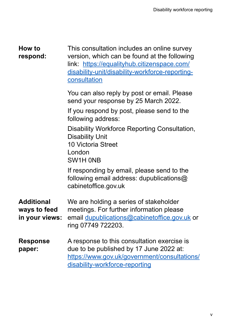| How to<br>respond:                | This consultation includes an online survey<br>version, which can be found at the following<br>link: https://equalityhub.citizenspace.com/<br>disability-unit/disability-workforce-reporting-<br>consultation |  |  |  |  |
|-----------------------------------|---------------------------------------------------------------------------------------------------------------------------------------------------------------------------------------------------------------|--|--|--|--|
|                                   | You can also reply by post or email. Please<br>send your response by 25 March 2022.                                                                                                                           |  |  |  |  |
|                                   | If you respond by post, please send to the<br>following address:                                                                                                                                              |  |  |  |  |
|                                   | Disability Workforce Reporting Consultation,<br><b>Disability Unit</b><br><b>10 Victoria Street</b><br>London<br>SW1H ONB                                                                                     |  |  |  |  |
|                                   | If responding by email, please send to the<br>following email address: dupublications@<br>cabinetoffice.gov.uk                                                                                                |  |  |  |  |
| <b>Additional</b><br>ways to feed | We are holding a series of stakeholder<br>meetings. For further information please<br>in your views: email dupublications@cabinetoffice.gov.uk or<br>ring 07749 722203.                                       |  |  |  |  |
| <b>Response</b><br>paper:         | A response to this consultation exercise is<br>due to be published by 17 June 2022 at:<br>https://www.gov.uk/government/consultations/<br>disability-workforce-reporting                                      |  |  |  |  |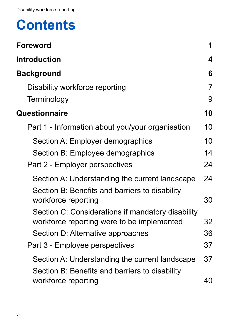# **Contents**

| <b>Foreword</b>                                                                                 | 1              |
|-------------------------------------------------------------------------------------------------|----------------|
| <b>Introduction</b>                                                                             | 4              |
| <b>Background</b>                                                                               | 6              |
| Disability workforce reporting                                                                  | $\overline{7}$ |
| Terminology                                                                                     | 9              |
| Questionnaire                                                                                   | 10             |
| Part 1 - Information about you/your organisation                                                | 10             |
| Section A: Employer demographics                                                                | 10             |
| Section B: Employee demographics                                                                | 14             |
| Part 2 - Employer perspectives                                                                  | 24             |
| Section A: Understanding the current landscape                                                  | 24             |
| Section B: Benefits and barriers to disability<br>workforce reporting                           | 30             |
| Section C: Considerations if mandatory disability<br>workforce reporting were to be implemented | 32             |
| Section D: Alternative approaches                                                               | 36             |
| Part 3 - Employee perspectives                                                                  | 37             |
| Section A: Understanding the current landscape                                                  | 37             |
| Section B: Benefits and barriers to disability<br>workforce reporting                           | 40             |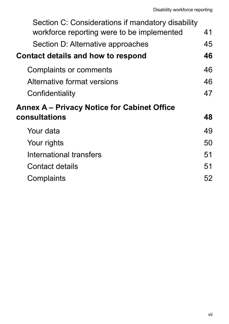| Section C: Considerations if mandatory disability<br>workforce reporting were to be implemented | 41 |
|-------------------------------------------------------------------------------------------------|----|
| Section D: Alternative approaches                                                               | 45 |
| <b>Contact details and how to respond</b>                                                       | 46 |
|                                                                                                 |    |
| <b>Complaints or comments</b>                                                                   | 46 |
| Alternative format versions                                                                     | 46 |
| Confidentiality                                                                                 | 47 |
| <b>Annex A - Privacy Notice for Cabinet Office</b>                                              |    |
| consultations                                                                                   | 48 |
| Your data                                                                                       | 49 |
| Your rights                                                                                     | 50 |
| International transfers                                                                         | 51 |
| Contact details                                                                                 | 51 |
| Complaints                                                                                      | 52 |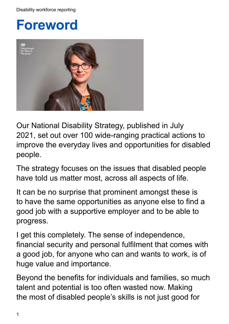<span id="page-7-0"></span>



Our National Disability Strategy, published in July 2021, set out over 100 wide-ranging practical actions to improve the everyday lives and opportunities for disabled people.

The strategy focuses on the issues that disabled people have told us matter most, across all aspects of life.

It can be no surprise that prominent amongst these is to have the same opportunities as anyone else to find a good job with a supportive employer and to be able to progress.

I get this completely. The sense of independence, financial security and personal fulfilment that comes with a good job, for anyone who can and wants to work, is of huge value and importance.

Beyond the benefits for individuals and families, so much talent and potential is too often wasted now. Making the most of disabled people's skills is not just good for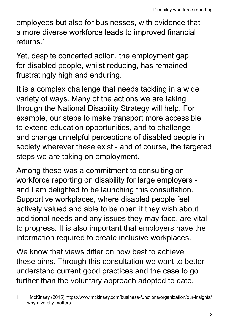employees but also for businesses, with evidence that a more diverse workforce leads to improved financial returns<sup>1</sup>

Yet, despite concerted action, the employment gap for disabled people, whilst reducing, has remained frustratingly high and enduring.

It is a complex challenge that needs tackling in a wide variety of ways. Many of the actions we are taking through the National Disability Strategy will help. For example, our steps to make transport more accessible, to extend education opportunities, and to challenge and change unhelpful perceptions of disabled people in society wherever these exist - and of course, the targeted steps we are taking on employment.

Among these was a commitment to consulting on workforce reporting on disability for large employers and I am delighted to be launching this consultation. Supportive workplaces, where disabled people feel actively valued and able to be open if they wish about additional needs and any issues they may face, are vital to progress. It is also important that employers have the information required to create inclusive workplaces.

We know that views differ on how best to achieve these aims. Through this consultation we want to better understand current good practices and the case to go further than the voluntary approach adopted to date.

<sup>1</sup> McKinsey (2015) https://www.mckinsey.com/business-functions/organization/our-insights/ why-diversity-matters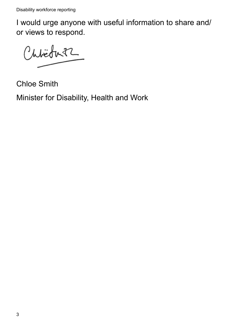I would urge anyone with useful information to share and/ or views to respond.

Childret

Chloe Smith

Minister for Disability, Health and Work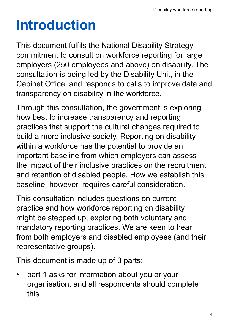# <span id="page-10-0"></span>**Introduction**

This document fulfils the National Disability Strategy commitment to consult on workforce reporting for large employers (250 employees and above) on disability. The consultation is being led by the Disability Unit, in the Cabinet Office, and responds to calls to improve data and transparency on disability in the workforce.

Through this consultation, the government is exploring how best to increase transparency and reporting practices that support the cultural changes required to build a more inclusive society. Reporting on disability within a workforce has the potential to provide an important baseline from which employers can assess the impact of their inclusive practices on the recruitment and retention of disabled people. How we establish this baseline, however, requires careful consideration.

This consultation includes questions on current practice and how workforce reporting on disability might be stepped up, exploring both voluntary and mandatory reporting practices. We are keen to hear from both employers and disabled employees (and their representative groups).

This document is made up of 3 parts:

• part 1 asks for information about you or your organisation, and all respondents should complete this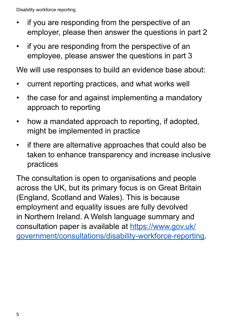- if you are responding from the perspective of an employer, please then answer the questions in part 2
- if you are responding from the perspective of an employee, please answer the questions in part 3

We will use responses to build an evidence base about:

- current reporting practices, and what works well
- the case for and against implementing a mandatory approach to reporting
- how a mandated approach to reporting, if adopted, might be implemented in practice
- if there are alternative approaches that could also be taken to enhance transparency and increase inclusive practices

The consultation is open to organisations and people across the UK, but its primary focus is on Great Britain (England, Scotland and Wales). This is because employment and equality issues are fully devolved in Northern Ireland. A Welsh language summary and consultation paper is available at [https://www.gov.uk/](https://www.gov.uk/government/consultations/disability-workforce-reporting) [government/consultations/disability-workforce-reporting.](https://www.gov.uk/government/consultations/disability-workforce-reporting)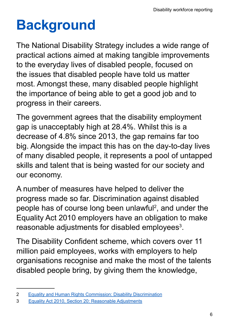# <span id="page-12-0"></span>**Background**

The National Disability Strategy includes a wide range of practical actions aimed at making tangible improvements to the everyday lives of disabled people, focused on the issues that disabled people have told us matter most. Amongst these, many disabled people highlight the importance of being able to get a good job and to progress in their careers.

The government agrees that the disability employment gap is unacceptably high at 28.4%. Whilst this is a decrease of 4.8% since 2013, the gap remains far too big. Alongside the impact this has on the day-to-day lives of many disabled people, it represents a pool of untapped skills and talent that is being wasted for our society and our economy.

A number of measures have helped to deliver the progress made so far. Discrimination against disabled people has of course long been unlawful<sup>2</sup>, and under the Equality Act 2010 employers have an obligation to make reasonable adjustments for disabled employees $^3$ .

The Disability Confident scheme, which covers over 11 million paid employees, works with employers to help organisations recognise and make the most of the talents disabled people bring, by giving them the knowledge,

<sup>2</sup> [Equality and Human Rights Commission: Disability Discrimination](https://www.equalityhumanrights.com/en/advice-and-guidance/disability-discrimination)

<sup>3</sup> [Equality Act 2010, Section 20: Reasonable Adjustments](https://www.legislation.gov.uk/ukpga/2010/15/section/20)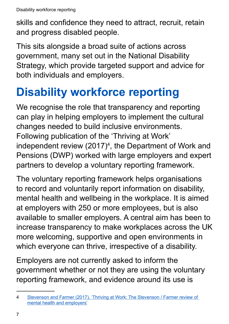<span id="page-13-0"></span>skills and confidence they need to attract, recruit, retain and progress disabled people.

This sits alongside a broad suite of actions across government, many set out in the National Disability Strategy, which provide targeted support and advice for both individuals and employers.

## **Disability workforce reporting**

We recognise the role that transparency and reporting can play in helping employers to implement the cultural changes needed to build inclusive environments. Following publication of the 'Thriving at Work' independent review  $(2017)^4$ , the Department of Work and Pensions (DWP) worked with large employers and expert partners to develop a voluntary reporting framework.

The voluntary reporting framework helps organisations to record and voluntarily report information on disability, mental health and wellbeing in the workplace. It is aimed at employers with 250 or more employees, but is also available to smaller employers. A central aim has been to increase transparency to make workplaces across the UK more welcoming, supportive and open environments in which everyone can thrive, irrespective of a disability.

Employers are not currently asked to inform the government whether or not they are using the voluntary reporting framework, and evidence around its use is

<sup>4</sup> [Stevenson and Farmer \(2017\), 'Thriving at Work: The Stevenson / Farmer review of](https://assets.publishing.service.gov.uk/government/uploads/system/uploads/attachment_data/file/658145/thriving-at-work-stevenson-farmer-review.pdf)  [mental health and employers'](https://assets.publishing.service.gov.uk/government/uploads/system/uploads/attachment_data/file/658145/thriving-at-work-stevenson-farmer-review.pdf)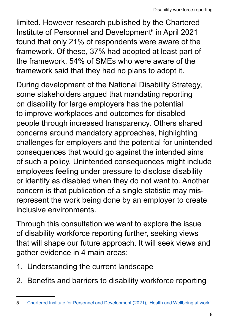limited. However research published by the Chartered Institute of Personnel and Development<sup>5</sup> in April 2021 found that only 21% of respondents were aware of the framework. Of these, 37% had adopted at least part of the framework. 54% of SMEs who were aware of the framework said that they had no plans to adopt it.

During development of the National Disability Strategy, some stakeholders argued that mandating reporting on disability for large employers has the potential to improve workplaces and outcomes for disabled people through increased transparency. Others shared concerns around mandatory approaches, highlighting challenges for employers and the potential for unintended consequences that would go against the intended aims of such a policy. Unintended consequences might include employees feeling under pressure to disclose disability or identify as disabled when they do not want to. Another concern is that publication of a single statistic may misrepresent the work being done by an employer to create inclusive environments.

Through this consultation we want to explore the issue of disability workforce reporting further, seeking views that will shape our future approach. It will seek views and gather evidence in 4 main areas:

- 1. Understanding the current landscape
- 2. Benefits and barriers to disability workforce reporting

<sup>5</sup> [Chartered Institute for Personnel and Development \(2021\), 'Health and Wellbeing at work'.](https://www.cipd.co.uk/Images/health-wellbeing-work-report-2021_tcm18-93541.pdf)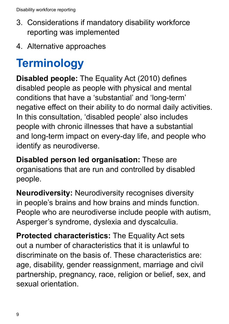- <span id="page-15-0"></span>3. Considerations if mandatory disability workforce reporting was implemented
- 4. Alternative approaches

# **Terminology**

**Disabled people:** The Equality Act (2010) defines disabled people as people with physical and mental conditions that have a 'substantial' and 'long-term' negative effect on their ability to do normal daily activities. In this consultation, 'disabled people' also includes people with chronic illnesses that have a substantial and long-term impact on every-day life, and people who identify as neurodiverse.

**Disabled person led organisation:** These are organisations that are run and controlled by disabled people.

**Neurodiversity:** Neurodiversity recognises diversity in people's brains and how brains and minds function. People who are neurodiverse include people with autism, Asperger's syndrome, dyslexia and dyscalculia.

**Protected characteristics:** The Equality Act sets out a number of characteristics that it is unlawful to discriminate on the basis of. These characteristics are: age, disability, gender reassignment, marriage and civil partnership, pregnancy, race, religion or belief, sex, and sexual orientation.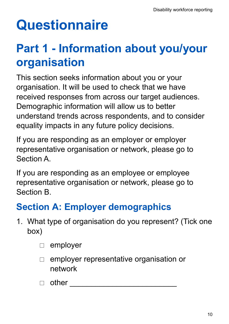# <span id="page-16-0"></span>**Questionnaire**

## **Part 1 - Information about you/your organisation**

This section seeks information about you or your organisation. It will be used to check that we have received responses from across our target audiences. Demographic information will allow us to better understand trends across respondents, and to consider equality impacts in any future policy decisions.

If you are responding as an employer or employer representative organisation or network, please go to Section A.

If you are responding as an employee or employee representative organisation or network, please go to Section B.

## **Section A: Employer demographics**

- 1. What type of organisation do you represent? (Tick one box)
	- employer
	- $\Box$  employer representative organisation or network
	- $\Box$  other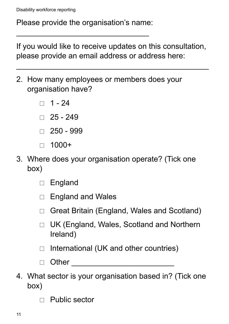Please provide the organisation's name:

 $\mathcal{L}_\text{max}$  , and the contract of the contract of the contract of the contract of the contract of the contract of the contract of the contract of the contract of the contract of the contract of the contract of the contr

If you would like to receive updates on this consultation, please provide an email address or address here:

 $\mathcal{L}_\text{max}$  and  $\mathcal{L}_\text{max}$  and  $\mathcal{L}_\text{max}$  and  $\mathcal{L}_\text{max}$  and  $\mathcal{L}_\text{max}$  and  $\mathcal{L}_\text{max}$ 

- 2. How many employees or members does your organisation have?
	- $\Box$  1 24
	- $\Box$  25 249
	- $\Box$  250 999
	- $\Box$  1000+
- 3. Where does your organisation operate? (Tick one box)
	- □ England
	- $\Box$  England and Wales
	- □ Great Britain (England, Wales and Scotland)
	- UK (England, Wales, Scotland and Northern Ireland)
	- $\Box$  International (UK and other countries)
	- $\Box$  Other
- 4. What sector is your organisation based in? (Tick one box)
	- D Public sector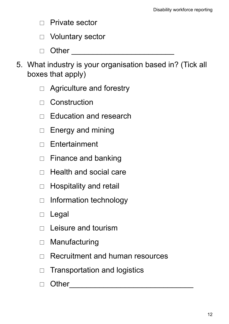$\Box$  Private sector

D Voluntary sector

- $\Box$  Other  $\Box$
- 5. What industry is your organisation based in? (Tick all boxes that apply)
	- □ Agriculture and forestry
	- □ Construction
	- $\Box$  Education and research
	- $\Box$  Energy and mining
	- Entertainment
	- $\Box$  Finance and banking
	- $\Box$  Health and social care
	- $\Box$  Hospitality and retail
	- $\Box$  Information technology
	- □ Legal
	- $\Box$  Leisure and tourism
	- □ Manufacturing
	- $\Box$  Recruitment and human resources
	- $\Box$  Transportation and logistics
	- $\Box$  Other  $\Box$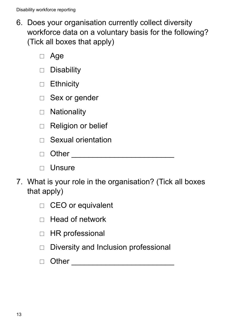- 6. Does your organisation currently collect diversity workforce data on a voluntary basis for the following? (Tick all boxes that apply)
	- □ Age
	- Disability
	- **D** Ethnicity
	- □ Sex or gender
	- □ Nationality
	- □ Religion or belief
	- $\Box$  Sexual orientation
	- Other \_\_\_\_\_\_\_\_\_\_\_\_\_\_\_\_\_\_\_\_\_\_\_\_
	- D Unsure
- 7. What is your role in the organisation? (Tick all boxes that apply)
	- $\Box$  CEO or equivalent
	- $\Box$  Head of network
	- □ HR professional
	- $\Box$  Diversity and Inclusion professional
	- $\Box$  Other  $\Box$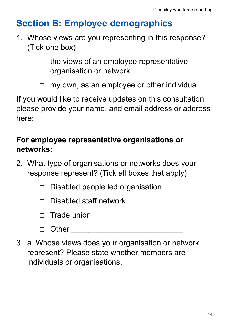### <span id="page-20-0"></span>**Section B: Employee demographics**

- 1. Whose views are you representing in this response? (Tick one box)
	- $\Box$  the views of an employee representative organisation or network
	- $\Box$  my own, as an employee or other individual

If you would like to receive updates on this consultation, please provide your name, and email address or address here: \_\_\_\_\_\_\_\_\_\_\_\_\_\_\_\_\_\_\_\_\_\_\_\_\_\_\_\_\_\_\_\_\_\_\_\_\_\_\_\_\_

#### **For employee representative organisations or networks:**

- 2. What type of organisations or networks does your response represent? (Tick all boxes that apply)
	- $\Box$  Disabled people led organisation
	- $\Box$  Disabled staff network
	- $\Box$  Trade union
	- Other \_\_\_\_\_\_\_\_\_\_\_\_\_\_\_\_\_\_\_\_\_\_\_\_\_\_
- 3. a. Whose views does your organisation or network represent? Please state whether members are individuals or organisations.

\_\_\_\_\_\_\_\_\_\_\_\_\_\_\_\_\_\_\_\_\_\_\_\_\_\_\_\_\_\_\_\_\_\_\_\_\_\_\_\_\_\_\_\_\_\_\_\_\_\_\_\_\_\_\_\_\_\_\_\_\_\_\_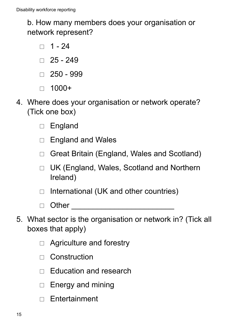b. How many members does your organisation or network represent?

- $\Box$  1 24
- $\Box$  25 249
- $\Box$  250 999
- $\Box$  1000+
- 4. Where does your organisation or network operate? (Tick one box)
	- □ England
	- □ England and Wales
	- □ Great Britain (England, Wales and Scotland)
	- UK (England, Wales, Scotland and Northern Ireland)
	- $\Box$  International (UK and other countries)
	- $\Box$  Other
- 5. What sector is the organisation or network in? (Tick all boxes that apply)
	- □ Agriculture and forestry
	- □ Construction
	- $\Box$  Education and research
	- $\Box$  Energy and mining
	- $\Box$  Entertainment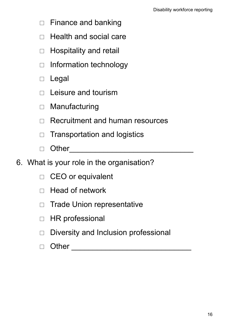- $\Box$  Finance and banking
- $\Box$  Health and social care
- $\Box$  Hospitality and retail
- $\Box$  Information technology
- □ Legal
- □ Leisure and tourism
- Manufacturing
- □ Recruitment and human resources
- $\Box$  Transportation and logistics
- Other\_\_\_\_\_\_\_\_\_\_\_\_\_\_\_\_\_\_\_\_\_\_\_\_\_\_\_\_\_
- 6. What is your role in the organisation?
	- $\Box$  CEO or equivalent
	- $\Box$  Head of network
	- $\Box$  Trade Union representative
	- □ HR professional
	- $\Box$  Diversity and Inclusion professional
	- $\Box$  Other  $\Box$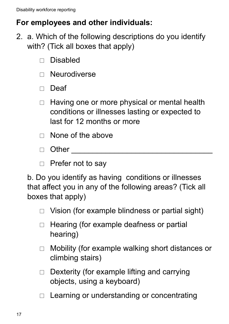#### **For employees and other individuals:**

- 2. a. Which of the following descriptions do you identify with? (Tick all boxes that apply)
	- Disabled
	- $\Box$  Neurodiverse
	- $\Box$  Deaf
	- $\Box$  Having one or more physical or mental health conditions or illnesses lasting or expected to last for 12 months or more
	- $\Box$  None of the above
	- $\Box$  Other
	- $\Box$  Prefer not to say

b. Do you identify as having conditions or illnesses that affect you in any of the following areas? (Tick all boxes that apply)

- $\Box$  Vision (for example blindness or partial sight)
- $\Box$  Hearing (for example deafness or partial hearing)
- □ Mobility (for example walking short distances or climbing stairs)
- $\Box$  Dexterity (for example lifting and carrying objects, using a keyboard)
- $\Box$  Learning or understanding or concentrating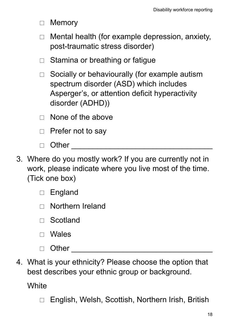□ Memory

 $\Box$  Mental health (for example depression, anxiety, post-traumatic stress disorder)

 $\Box$  Stamina or breathing or fatigue

- $\Box$  Socially or behaviourally (for example autism spectrum disorder (ASD) which includes Asperger's, or attention deficit hyperactivity disorder (ADHD))
- $\Box$  None of the above
- $\Box$  Prefer not to say
- $\Box$  Other
- 3. Where do you mostly work? If you are currently not in work, please indicate where you live most of the time. (Tick one box)
	- □ England
	- □ Northern Ireland
	- □ Scotland
	- Wales
	- $\Box$  Other
- 4. What is your ethnicity? Please choose the option that best describes your ethnic group or background.

**White** 

□ English, Welsh, Scottish, Northern Irish, British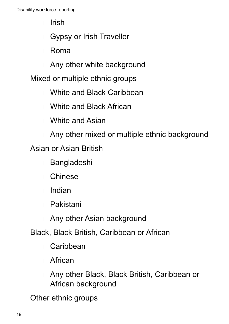- $\Box$  Irish
- Gypsy or Irish Traveller
- Roma
- $\Box$  Any other white background

Mixed or multiple ethnic groups

- □ White and Black Caribbean
- □ White and Black African
- $\Box$  White and Asian
- $\Box$  Any other mixed or multiple ethnic background

Asian or Asian British

- □ Bangladeshi
- Chinese
- $\Box$  Indian
- Pakistani
- □ Any other Asian background
- Black, Black British, Caribbean or African
	- □ Caribbean
	- □ African
	- □ Any other Black, Black British, Caribbean or African background

Other ethnic groups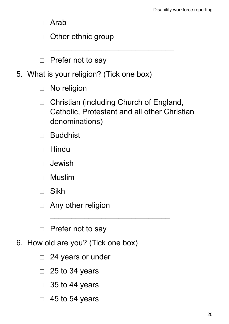Arab

 $\Box$  Other ethnic group

 $\Box$  Prefer not to say

- 5. What is your religion? (Tick one box)
	- □ No religion
	- □ Christian (including Church of England, Catholic, Protestant and all other Christian denominations)

 $\mathcal{L}=\{1,2,3,4,5\}$  , we can assume that  $\mathcal{L}=\{1,2,3,4,5\}$ 

 $\mathcal{L}_\text{max}$  , and the contract of the contract of the contract of the contract of the contract of the contract of the contract of the contract of the contract of the contract of the contract of the contract of the contr

- Buddhist
- $\Box$  Hindu
- $\Box$  Jewish
- Muslim
- Sikh
- □ Any other religion
- $\Box$  Prefer not to say
- 6. How old are you? (Tick one box)
	- □ 24 years or under
	- $\Box$  25 to 34 years
	- $\Box$  35 to 44 years
	- $\Box$  45 to 54 years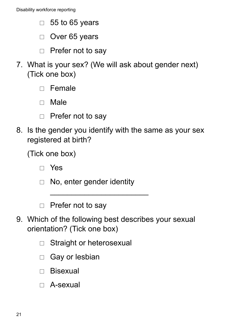Disability workforce reporting

- $\Box$  55 to 65 years
- $\Box$  Over 65 years
- $\Box$  Prefer not to say
- 7. What is your sex? (We will ask about gender next) (Tick one box)
	- Female
	- Male
	- $\Box$  Prefer not to say
- 8. Is the gender you identify with the same as your sex registered at birth?

(Tick one box)

Yes

 $\Box$  No, enter gender identity

 $\Box$  Prefer not to say

9. Which of the following best describes your sexual orientation? (Tick one box)

 $\mathcal{L}=\{1,2,3,4,5\}$  , we can also the contract of  $\mathcal{L}=\{1,2,3,4,5\}$ 

- □ Straight or heterosexual
- □ Gay or lesbian
- Bisexual
- A-sexual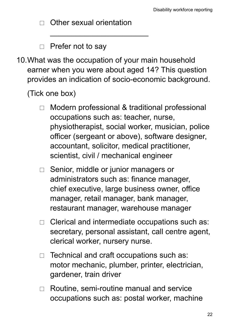$\Box$  Other sexual orientation

 $\mathcal{L}_\text{max}$  , we can also the contract of  $\mathcal{L}_\text{max}$ 

- $\Box$  Prefer not to say
- 10.What was the occupation of your main household earner when you were about aged 14? This question provides an indication of socio-economic background.

(Tick one box)

□ Modern professional & traditional professional occupations such as: teacher, nurse, physiotherapist, social worker, musician, police officer (sergeant or above), software designer, accountant, solicitor, medical practitioner, scientist, civil / mechanical engineer

- $\Box$  Senior, middle or junior managers or administrators such as: finance manager, chief executive, large business owner, office manager, retail manager, bank manager, restaurant manager, warehouse manager
- $\Box$  Clerical and intermediate occupations such as: secretary, personal assistant, call centre agent, clerical worker, nursery nurse.
- $\Box$  Technical and craft occupations such as: motor mechanic, plumber, printer, electrician, gardener, train driver
- □ Routine, semi-routine manual and service occupations such as: postal worker, machine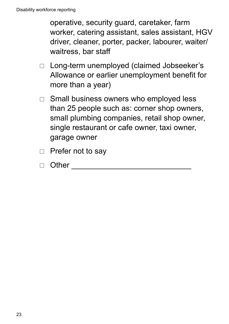operative, security guard, caretaker, farm worker, catering assistant, sales assistant, HGV driver, cleaner, porter, packer, labourer, waiter/ waitress, bar staff

- □ Long-term unemployed (claimed Jobseeker's Allowance or earlier unemployment benefit for more than a year)
- $\Box$  Small business owners who employed less than 25 people such as: corner shop owners, small plumbing companies, retail shop owner, single restaurant or cafe owner, taxi owner, garage owner
- $\Box$  Prefer not to say
- $\Box$  Other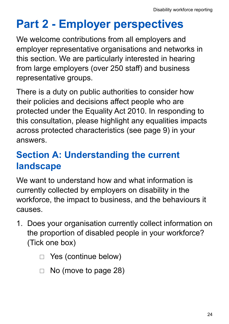# <span id="page-30-0"></span>**Part 2 - Employer perspectives**

We welcome contributions from all employers and employer representative organisations and networks in this section. We are particularly interested in hearing from large employers (over 250 staff) and business representative groups.

There is a duty on public authorities to consider how their policies and decisions affect people who are protected under the Equality Act 2010. In responding to this consultation, please highlight any equalities impacts across protected characteristics (see page 9) in your answers.

### **Section A: Understanding the current landscape**

We want to understand how and what information is currently collected by employers on disability in the workforce, the impact to business, and the behaviours it causes.

- 1. Does your organisation currently collect information on the proportion of disabled people in your workforce? (Tick one box)
	- □ Yes (continue below)
	- $\Box$  No (move to page 28)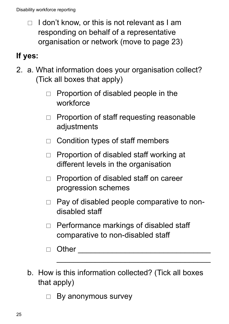$\Box$  I don't know, or this is not relevant as I am responding on behalf of a representative organisation or network (move to page 23)

#### **If yes:**

- 2. a. What information does your organisation collect? (Tick all boxes that apply)
	- $\Box$  Proportion of disabled people in the workforce
	- $\Box$  Proportion of staff requesting reasonable adjustments
	- $\Box$  Condition types of staff members
	- $\Box$  Proportion of disabled staff working at different levels in the organisation
	- $\Box$  Proportion of disabled staff on career progression schemes
	- $\Box$  Pay of disabled people comparative to nondisabled staff

 $\mathcal{L}_\text{max}$  , and the contract of the contract of the contract of the contract of the contract of the contract of the contract of the contract of the contract of the contract of the contract of the contract of the contr

- $\Box$  Performance markings of disabled staff comparative to non-disabled staff
- □ Other <u>\_\_\_\_\_\_\_\_\_\_\_\_\_\_\_\_\_\_\_\_</u>
- b. How is this information collected? (Tick all boxes that apply)
	- $\Box$  By anonymous survey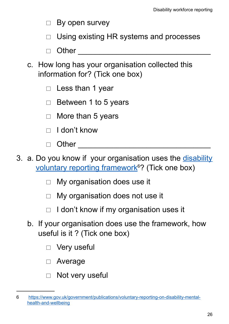□ By open survey

 $\Box$  Using existing HR systems and processes

- $\Box$  Other
- c. How long has your organisation collected this information for? (Tick one box)

 $\Box$  Less than 1 year

|  | $\Box$ Between 1 to 5 years |  |  |  |  |
|--|-----------------------------|--|--|--|--|
|--|-----------------------------|--|--|--|--|

- $\Box$  More than 5 years
- $\Box$  I don't know
- $\Box$  Other
- 3. a. Do you know if your organisation uses the [disability](https://www.gov.uk/government/publications/voluntary-reporting-on-disability-mental-health-and-wellbeing)  <u>voluntary reporting framework</u>6? (Tick one box)
	- □ My organisation does use it
	- $\Box$  My organisation does not use it
	- $\Box$  I don't know if my organisation uses it
	- b. If your organisation does use the framework, how useful is it ? (Tick one box)
		- □ Very useful
		- Average
		- □ Not very useful

<sup>6</sup> [https://www.gov.uk/government/publications/voluntary-reporting-on-disability-mental](https://www.gov.uk/government/publications/voluntary-reporting-on-disability-mental-health-and-wellbeing)[health-and-wellbeing](https://www.gov.uk/government/publications/voluntary-reporting-on-disability-mental-health-and-wellbeing)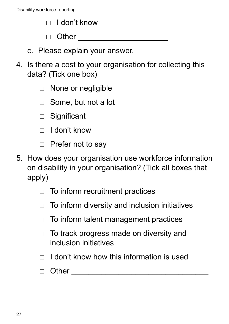□ I don't know

- Other \_\_\_\_\_\_\_\_\_\_\_\_\_\_\_\_\_\_\_\_\_
- c. Please explain your answer.
- 4. Is there a cost to your organisation for collecting this data? (Tick one box)
	- □ None or negligible
	- □ Some, but not a lot
	- □ Significant
	- $\Box$  I don't know
	- $\Box$  Prefer not to say
- 5. How does your organisation use workforce information on disability in your organisation? (Tick all boxes that apply)
	- $\Box$  To inform recruitment practices
	- $\Box$  To inform diversity and inclusion initiatives
	- $\Box$  To inform talent management practices
	- $\Box$  To track progress made on diversity and inclusion initiatives
	- $\Box$  I don't know how this information is used
	- Other \_\_\_\_\_\_\_\_\_\_\_\_\_\_\_\_\_\_\_\_\_\_\_\_\_\_\_\_\_\_\_\_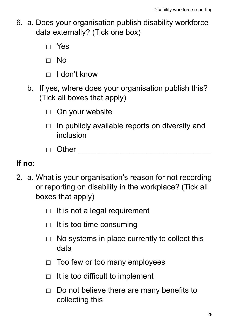- 6. a. Does your organisation publish disability workforce data externally? (Tick one box)
	- Yes
	- No
	- $\Box$  I don't know
	- b. If yes, where does your organisation publish this? (Tick all boxes that apply)
		- $\Box$  On your website
		- $\Box$  In publicly available reports on diversity and inclusion
		- $\Box$  Other  $\Box$

#### **If no:**

- 2. a. What is your organisation's reason for not recording or reporting on disability in the workplace? (Tick all boxes that apply)
	- $\Box$  It is not a legal requirement
	- $\Box$  It is too time consuming
	- $\Box$  No systems in place currently to collect this data
	- $\Box$  Too few or too many employees
	- $\Box$  It is too difficult to implement
	- $\Box$  Do not believe there are many benefits to collecting this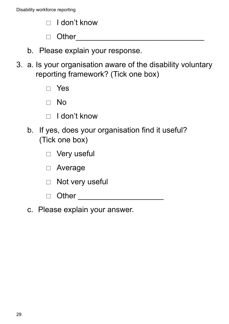□ I don't know

- Other\_\_\_\_\_\_\_\_\_\_\_\_\_\_\_\_\_\_\_\_\_\_\_\_\_\_\_\_\_\_
- b. Please explain your response.
- 3. a. Is your organisation aware of the disability voluntary reporting framework? (Tick one box)
	- Yes
	- No
	- $\Box$  I don't know
	- b. If yes, does your organisation find it useful? (Tick one box)
		- □ Very useful
		- Average
		- □ Not very useful
		- Other \_\_\_\_\_\_\_\_\_\_\_\_\_\_\_\_\_\_\_\_
	- c. Please explain your answer.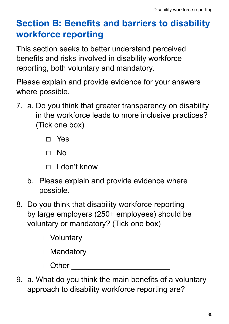## <span id="page-36-0"></span>**Section B: Benefits and barriers to disability workforce reporting**

This section seeks to better understand perceived benefits and risks involved in disability workforce reporting, both voluntary and mandatory.

Please explain and provide evidence for your answers where possible.

7. a. Do you think that greater transparency on disability in the workforce leads to more inclusive practices? (Tick one box)

Yes

No

 $\Box$  I don't know

- b. Please explain and provide evidence where possible.
- 8. Do you think that disability workforce reporting by large employers (250+ employees) should be voluntary or mandatory? (Tick one box)
	- D Voluntary

□ Mandatory

- $\Box$  Other
- 9. a. What do you think the main benefits of a voluntary approach to disability workforce reporting are?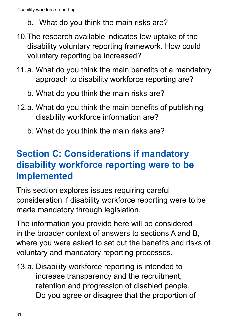- b. What do you think the main risks are?
- 10.The research available indicates low uptake of the disability voluntary reporting framework. How could voluntary reporting be increased?
- 11.a. What do you think the main benefits of a mandatory approach to disability workforce reporting are?
	- b. What do you think the main risks are?
- 12.a. What do you think the main benefits of publishing disability workforce information are?
	- b. What do you think the main risks are?

## **Section C: Considerations if mandatory disability workforce reporting were to be implemented**

This section explores issues requiring careful consideration if disability workforce reporting were to be made mandatory through legislation.

The information you provide here will be considered in the broader context of answers to sections A and B, where you were asked to set out the benefits and risks of voluntary and mandatory reporting processes.

13.a. Disability workforce reporting is intended to increase transparency and the recruitment, retention and progression of disabled people. Do you agree or disagree that the proportion of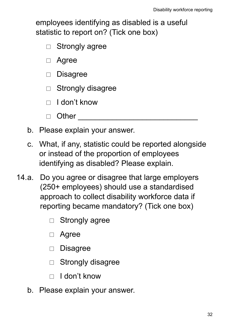<span id="page-38-0"></span>employees identifying as disabled is a useful statistic to report on? (Tick one box)

□ Strongly agree

Agree

Disagree

 $\Box$  Strongly disagree

 $\Box$  I don't know

 $\Box$  Other

b. Please explain your answer.

c. What, if any, statistic could be reported alongside or instead of the proportion of employees identifying as disabled? Please explain.

14.a. Do you agree or disagree that large employers (250+ employees) should use a standardised approach to collect disability workforce data if reporting became mandatory? (Tick one box)

□ Strongly agree

Agree

Disagree

 $\Box$  Strongly disagree

 $\Box$  I don't know

b. Please explain your answer.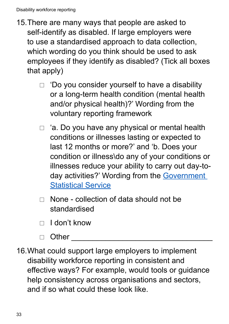- 15.There are many ways that people are asked to self-identify as disabled. If large employers were to use a standardised approach to data collection, which wording do you think should be used to ask employees if they identify as disabled? (Tick all boxes that apply)
	- D 'Do you consider yourself to have a disability or a long-term health condition (mental health and/or physical health)?' Wording from the voluntary reporting framework
	- $\Box$  'a. Do you have any physical or mental health conditions or illnesses lasting or expected to last 12 months or more?' and 'b. Does your condition or illness\do any of your conditions or illnesses reduce your ability to carry out day-today activities?' Wording from the **Government** [Statistical Service](https://gss.civilservice.gov.uk/policy-store/measuring-disability-for-the-equality-act-2010/)
	- $\Box$  None collection of data should not be standardised
	- $\Box$  I don't know
	- $\Box$  Other
- 16.What could support large employers to implement disability workforce reporting in consistent and effective ways? For example, would tools or guidance help consistency across organisations and sectors, and if so what could these look like.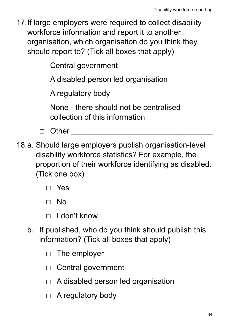- 17.If large employers were required to collect disability workforce information and report it to another organisation, which organisation do you think they should report to? (Tick all boxes that apply)
	- □ Central government
	- $\Box$  A disabled person led organisation
	- $\Box$  A regulatory body
	- $\Box$  None there should not be centralised collection of this information
	- $\Box$  Other
- 18.a. Should large employers publish organisation-level disability workforce statistics? For example, the proportion of their workforce identifying as disabled. (Tick one box)
	- Yes
	- No
	- $\Box$  I don't know
	- b. If published, who do you think should publish this information? (Tick all boxes that apply)
		- $\Box$  The employer
		- $\Box$  Central government
		- $\Box$  A disabled person led organisation
		- □ A regulatory body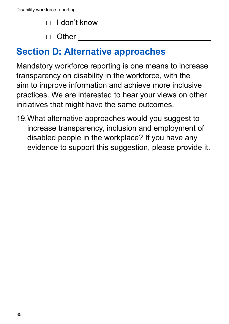$\Box$  I don't know

 $\Box$  Other

## **Section D: Alternative approaches**

Mandatory workforce reporting is one means to increase transparency on disability in the workforce, with the aim to improve information and achieve more inclusive practices. We are interested to hear your views on other initiatives that might have the same outcomes.

19.What alternative approaches would you suggest to increase transparency, inclusion and employment of disabled people in the workplace? If you have any evidence to support this suggestion, please provide it.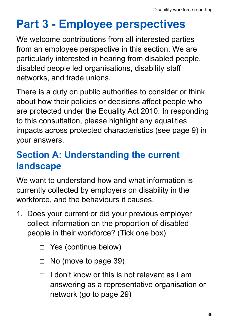# <span id="page-42-0"></span>**Part 3 - Employee perspectives**

We welcome contributions from all interested parties from an employee perspective in this section. We are particularly interested in hearing from disabled people, disabled people led organisations, disability staff networks, and trade unions.

There is a duty on public authorities to consider or think about how their policies or decisions affect people who are protected under the Equality Act 2010. In responding to this consultation, please highlight any equalities impacts across protected characteristics (see page 9) in your answers.

### **Section A: Understanding the current landscape**

We want to understand how and what information is currently collected by employers on disability in the workforce, and the behaviours it causes.

- 1. Does your current or did your previous employer collect information on the proportion of disabled people in their workforce? (Tick one box)
	- □ Yes (continue below)
	- $\Box$  No (move to page 39)
	- $\Box$  I don't know or this is not relevant as I am answering as a representative organisation or network (go to page 29)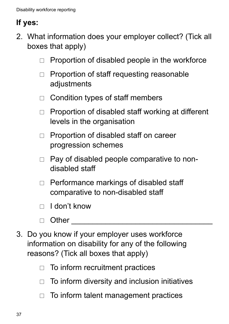### <span id="page-43-0"></span>**If yes:**

- 2. What information does your employer collect? (Tick all boxes that apply)
	- $\Box$  Proportion of disabled people in the workforce
	- $\Box$  Proportion of staff requesting reasonable adjustments
	- $\Box$  Condition types of staff members
	- $\Box$  Proportion of disabled staff working at different levels in the organisation
	- $\Box$  Proportion of disabled staff on career progression schemes
	- $\Box$  Pay of disabled people comparative to nondisabled staff
	- $\Box$  Performance markings of disabled staff comparative to non-disabled staff
	- $\Box$  I don't know
	- $\Box$  Other
- 3. Do you know if your employer uses workforce information on disability for any of the following reasons? (Tick all boxes that apply)
	- $\Box$  To inform recruitment practices
	- $\Box$  To inform diversity and inclusion initiatives
	- $\Box$  To inform talent management practices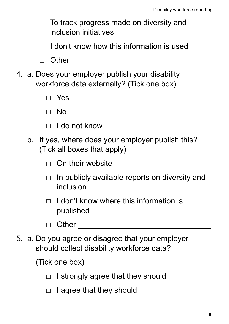- $\Box$  To track progress made on diversity and inclusion initiatives
- $\Box$  I don't know how this information is used
- □ Other <u>\_\_\_\_\_\_\_\_\_\_\_\_\_\_\_\_\_\_\_\_\_\_\_\_\_\_\_\_\_\_</u>
- 4. a. Does your employer publish your disability workforce data externally? (Tick one box)
	- Yes
	- No
	- $\Box$  I do not know
	- b. If yes, where does your employer publish this? (Tick all boxes that apply)
		- $\Box$  On their website
		- $\Box$  In publicly available reports on diversity and inclusion
		- $\Box$  I don't know where this information is published
		- $\Box$  Other  $\Box$
- 5. a. Do you agree or disagree that your employer should collect disability workforce data?

(Tick one box)

- $\Box$  I strongly agree that they should
- $\Box$  I agree that they should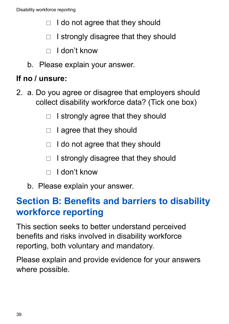- $\Box$  I do not agree that they should
- $\Box$  I strongly disagree that they should
- $\Box$  I don't know
- b. Please explain your answer.

#### **If no / unsure:**

- 2. a. Do you agree or disagree that employers should collect disability workforce data? (Tick one box)
	- $\Box$  I strongly agree that they should
	- $\Box$  I agree that they should
	- $\Box$  I do not agree that they should
	- $\Box$  I strongly disagree that they should
	- $\Box$  I don't know
	- b. Please explain your answer.

### **Section B: Benefits and barriers to disability workforce reporting**

This section seeks to better understand perceived benefits and risks involved in disability workforce reporting, both voluntary and mandatory.

Please explain and provide evidence for your answers where possible.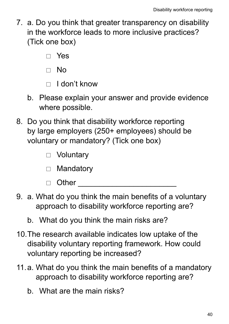- <span id="page-46-0"></span>7. a. Do you think that greater transparency on disability in the workforce leads to more inclusive practices? (Tick one box)
	- Yes
	- No
	- $\Box$  I don't know
	- b. Please explain your answer and provide evidence where possible.
- 8. Do you think that disability workforce reporting by large employers (250+ employees) should be voluntary or mandatory? (Tick one box)
	- D Voluntary
	- □ Mandatory
	- $\Box$  Other
- 9. a. What do you think the main benefits of a voluntary approach to disability workforce reporting are?
	- b. What do you think the main risks are?
- 10.The research available indicates low uptake of the disability voluntary reporting framework. How could voluntary reporting be increased?
- 11.a. What do you think the main benefits of a mandatory approach to disability workforce reporting are?
	- b. What are the main risks?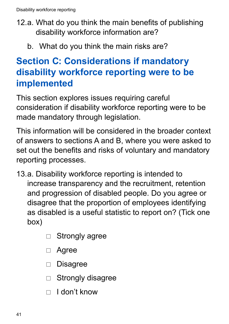- 12.a. What do you think the main benefits of publishing disability workforce information are?
	- b. What do you think the main risks are?

## **Section C: Considerations if mandatory disability workforce reporting were to be implemented**

This section explores issues requiring careful consideration if disability workforce reporting were to be made mandatory through legislation.

This information will be considered in the broader context of answers to sections A and B, where you were asked to set out the benefits and risks of voluntary and mandatory reporting processes.

- 13.a. Disability workforce reporting is intended to increase transparency and the recruitment, retention and progression of disabled people. Do you agree or disagree that the proportion of employees identifying as disabled is a useful statistic to report on? (Tick one box)
	- □ Strongly agree
	- Agree
	- Disagree
	- □ Strongly disagree
	- $\Box$  I don't know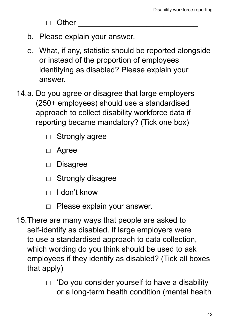$\Box$  Other

- <span id="page-48-0"></span>b. Please explain your answer.
- c. What, if any, statistic should be reported alongside or instead of the proportion of employees identifying as disabled? Please explain your answer.
- 14.a. Do you agree or disagree that large employers (250+ employees) should use a standardised approach to collect disability workforce data if reporting became mandatory? (Tick one box)
	- □ Strongly agree
	- Agree
	- Disagree
	- $\Box$  Strongly disagree
	- $\Box$  I don't know
	- $\Box$  Please explain your answer.
- 15.There are many ways that people are asked to self-identify as disabled. If large employers were to use a standardised approach to data collection, which wording do you think should be used to ask employees if they identify as disabled? (Tick all boxes that apply)
	- $\Box$  'Do you consider yourself to have a disability or a long-term health condition (mental health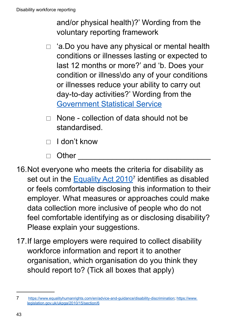and/or physical health)?' Wording from the voluntary reporting framework

- $\Box$  'a.Do you have any physical or mental health conditions or illnesses lasting or expected to last 12 months or more?' and 'b. Does your condition or illness\do any of your conditions or illnesses reduce your ability to carry out day-to-day activities?' Wording from the [Government Statistical Service](https://gss.civilservice.gov.uk/policy-store/measuring-disability-for-the-equality-act-2010/)
- $\Box$  None collection of data should not be standardised.
- $\Box$  I don't know
- $\Box$  Other
- 16.Not everyone who meets the criteria for disability as set out in the [Equality Act 2010](https://www.equalityhumanrights.com/en/advice-and-guidance/disability-discrimination)<sup>7</sup> identifies as disabled or feels comfortable disclosing this information to their employer. What measures or approaches could make data collection more inclusive of people who do not feel comfortable identifying as or disclosing disability? Please explain your suggestions.
- 17.If large employers were required to collect disability workforce information and report it to another organisation, which organisation do you think they should report to? (Tick all boxes that apply)

<sup>7</sup> [https://www.equalityhumanrights.com/en/advice-and-guidance/disability-discrimination;](https://www.equalityhumanrights.com/en/advice-and-guidance/disability-discrimination) [https://www.](https://www.legislation.gov.uk/ukpga/2010/15/section/6) [legislation.gov.uk/ukpga/2010/15/section/6](https://www.legislation.gov.uk/ukpga/2010/15/section/6)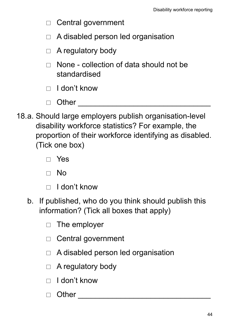- □ Central government
- $\Box$  A disabled person led organisation
- $\Box$  A regulatory body
- $\Box$  None collection of data should not be standardised
- □ I don't know
- Other \_\_\_\_\_\_\_\_\_\_\_\_\_\_\_\_\_\_\_\_\_\_\_\_\_\_\_\_\_\_\_
- 18.a. Should large employers publish organisation-level disability workforce statistics? For example, the proportion of their workforce identifying as disabled. (Tick one box)
	- Yes
	- No
	- $\Box$  I don't know
	- b. If published, who do you think should publish this information? (Tick all boxes that apply)
		- $\Box$  The employer
		- □ Central government
		- $\Box$  A disabled person led organisation
		- $\Box$  A regulatory body
		- $\Box$  I don't know
		- □ Other <u>\_\_\_\_\_\_\_\_\_\_\_\_\_\_\_\_\_\_\_\_</u>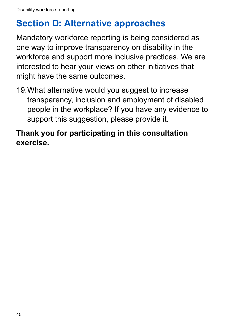## **Section D: Alternative approaches**

Mandatory workforce reporting is being considered as one way to improve transparency on disability in the workforce and support more inclusive practices. We are interested to hear your views on other initiatives that might have the same outcomes.

19.What alternative would you suggest to increase transparency, inclusion and employment of disabled people in the workplace? If you have any evidence to support this suggestion, please provide it.

**Thank you for participating in this consultation exercise.**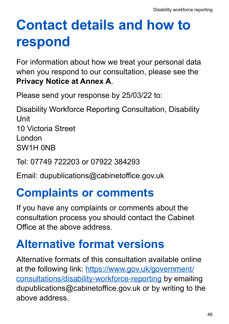# <span id="page-52-0"></span>**Contact details and how to respond**

For information about how we treat your personal data when you respond to our consultation, please see the **Privacy Notice at Annex A**.

Please send your response by 25/03/22 to:

Disability Workforce Reporting Consultation, Disability Unit 10 Victoria Street London SW1H 0NB

Tel: 07749 722203 or 07922 384293

Email: dupublications@cabinetoffice.gov.uk

## **Complaints or comments**

If you have any complaints or comments about the consultation process you should contact the Cabinet Office at the above address.

## **Alternative format versions**

Alternative formats of this consultation available online at the following link: [https://www.gov.uk/government/](https://www.gov.uk/government/consultations/disability-workforce-reporting) [consultations/disability-workforce-reporting](https://www.gov.uk/government/consultations/disability-workforce-reporting) by emailing dupublications@cabinetoffice.gov.uk or by writing to the above address.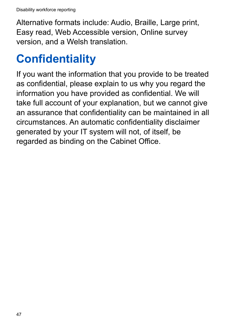<span id="page-53-0"></span>Alternative formats include: Audio, Braille, Large print, Easy read, Web Accessible version, Online survey version, and a Welsh translation.

# **Confidentiality**

If you want the information that you provide to be treated as confidential, please explain to us why you regard the information you have provided as confidential. We will take full account of your explanation, but we cannot give an assurance that confidentiality can be maintained in all circumstances. An automatic confidentiality disclaimer generated by your IT system will not, of itself, be regarded as binding on the Cabinet Office.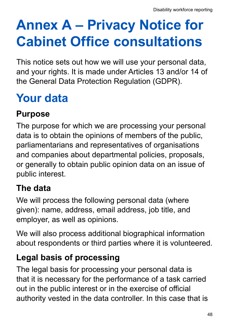# <span id="page-54-0"></span>**Annex A – Privacy Notice for Cabinet Office consultations**

This notice sets out how we will use your personal data, and your rights. It is made under Articles 13 and/or 14 of the General Data Protection Regulation (GDPR).

# **Your data**

### **Purpose**

The purpose for which we are processing your personal data is to obtain the opinions of members of the public, parliamentarians and representatives of organisations and companies about departmental policies, proposals, or generally to obtain public opinion data on an issue of public interest.

### **The data**

We will process the following personal data (where given): name, address, email address, job title, and employer, as well as opinions.

We will also process additional biographical information about respondents or third parties where it is volunteered.

### **Legal basis of processing**

The legal basis for processing your personal data is that it is necessary for the performance of a task carried out in the public interest or in the exercise of official authority vested in the data controller. In this case that is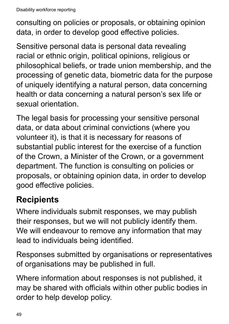<span id="page-55-0"></span>consulting on policies or proposals, or obtaining opinion data, in order to develop good effective policies.

Sensitive personal data is personal data revealing racial or ethnic origin, political opinions, religious or philosophical beliefs, or trade union membership, and the processing of genetic data, biometric data for the purpose of uniquely identifying a natural person, data concerning health or data concerning a natural person's sex life or sexual orientation.

The legal basis for processing your sensitive personal data, or data about criminal convictions (where you volunteer it), is that it is necessary for reasons of substantial public interest for the exercise of a function of the Crown, a Minister of the Crown, or a government department. The function is consulting on policies or proposals, or obtaining opinion data, in order to develop good effective policies.

### **Recipients**

Where individuals submit responses, we may publish their responses, but we will not publicly identify them. We will endeavour to remove any information that may lead to individuals being identified.

Responses submitted by organisations or representatives of organisations may be published in full.

Where information about responses is not published, it may be shared with officials within other public bodies in order to help develop policy.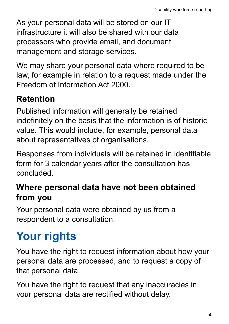As your personal data will be stored on our IT infrastructure it will also be shared with our data processors who provide email, and document management and storage services.

We may share your personal data where required to be law, for example in relation to a request made under the Freedom of Information Act 2000.

### **Retention**

Published information will generally be retained indefinitely on the basis that the information is of historic value. This would include, for example, personal data about representatives of organisations.

Responses from individuals will be retained in identifiable form for 3 calendar years after the consultation has concluded.

#### **Where personal data have not been obtained from you**

Your personal data were obtained by us from a respondent to a consultation.

# **Your rights**

You have the right to request information about how your personal data are processed, and to request a copy of that personal data.

You have the right to request that any inaccuracies in your personal data are rectified without delay.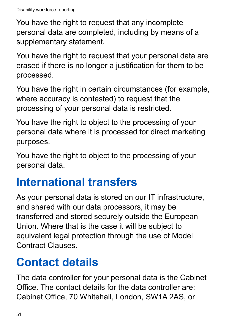You have the right to request that any incomplete personal data are completed, including by means of a supplementary statement.

You have the right to request that your personal data are erased if there is no longer a justification for them to be processed.

You have the right in certain circumstances (for example, where accuracy is contested) to request that the processing of your personal data is restricted.

You have the right to object to the processing of your personal data where it is processed for direct marketing purposes.

You have the right to object to the processing of your personal data.

## **International transfers**

As your personal data is stored on our IT infrastructure, and shared with our data processors, it may be transferred and stored securely outside the European Union. Where that is the case it will be subject to equivalent legal protection through the use of Model Contract Clauses.

## **Contact details**

The data controller for your personal data is the Cabinet Office. The contact details for the data controller are: Cabinet Office, 70 Whitehall, London, SW1A 2AS, or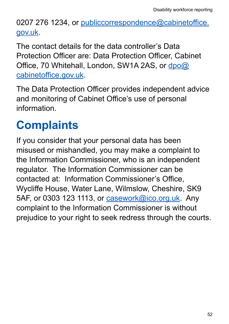<span id="page-58-0"></span>0207 276 1234, or [publiccorrespondence@cabinetoffice.](mailto:publiccorrespondence@cabinetoffice.gov.uk) [gov.uk.](mailto:publiccorrespondence@cabinetoffice.gov.uk)

The contact details for the data controller's Data Protection Officer are: Data Protection Officer, Cabinet Office, 70 Whitehall, London, SW1A 2AS, or [dpo@](mailto:dpo@cabinetoffice.gov.uk) [cabinetoffice.gov.uk](mailto:dpo@cabinetoffice.gov.uk).

The Data Protection Officer provides independent advice and monitoring of Cabinet Office's use of personal information.

# **Complaints**

If you consider that your personal data has been misused or mishandled, you may make a complaint to the Information Commissioner, who is an independent regulator. The Information Commissioner can be contacted at: Information Commissioner's Office, Wycliffe House, Water Lane, Wilmslow, Cheshire, SK9 5AF, or 0303 123 1113, or **casework@ico.org.uk.** Any complaint to the Information Commissioner is without prejudice to your right to seek redress through the courts.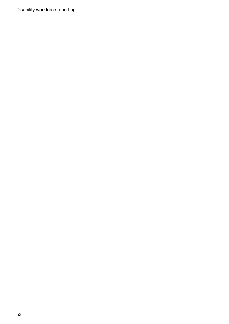<span id="page-59-0"></span>Disability workforce reporting